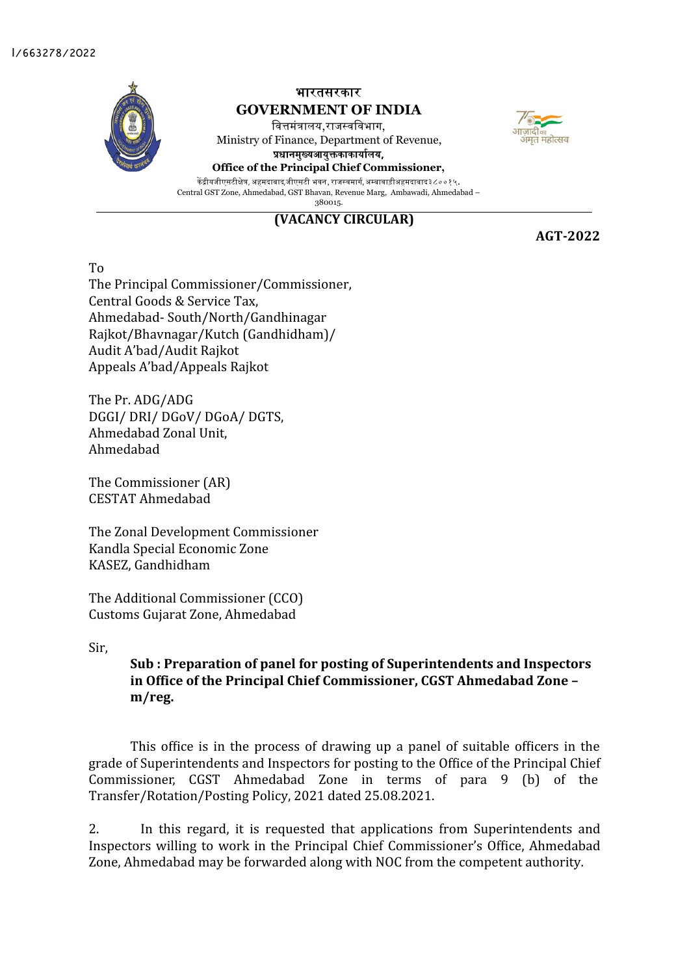

**(VACANCY CIRCULAR)**

**AGT-2022**

म्लाटी 

To

The Principal Commissioner/Commissioner, Central Goods & Service Tax, Ahmedabad- South/North/Gandhinagar Rajkot/Bhavnagar/Kutch (Gandhidham)/ Audit A'bad/Audit Rajkot Appeals A'bad/Appeals Rajkot

The Pr. ADG/ADG DGGI/ DRI/ DGoV/ DGoA/ DGTS, Ahmedabad Zonal Unit, Ahmedabad

The Commissioner (AR) CESTAT Ahmedabad

The Zonal Development Commissioner Kandla Special Economic Zone KASEZ, Gandhidham

The Additional Commissioner (CCO) Customs Gujarat Zone, Ahmedabad

Sir,

**Sub : Preparation of panel for posting of Superintendents and Inspectors in Office of the Principal Chief Commissioner, CGST Ahmedabad Zone – m/reg.**

This office is in the process of drawing up a panel of suitable officers in the grade of Superintendents and Inspectors for posting to the Office of the Principal Chief Commissioner, CGST Ahmedabad Zone in terms of para 9 (b) of the Transfer/Rotation/Posting Policy, 2021 dated 25.08.2021.

2. In this regard, it is requested that applications from Superintendents and Inspectors willing to work in the Principal Chief Commissioner's Office, Ahmedabad Zone, Ahmedabad may be forwarded along with NOC from the competent authority.